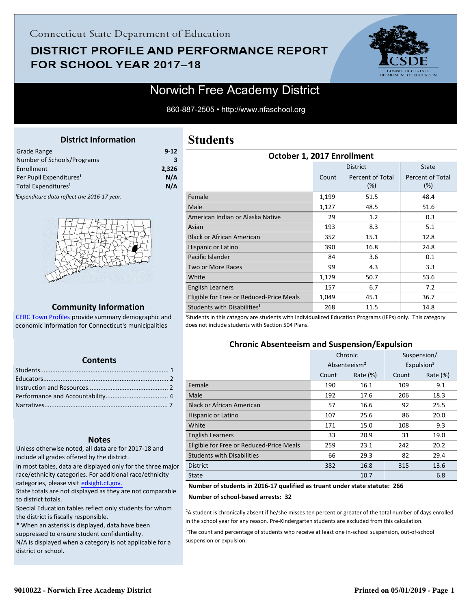## Connecticut State Department of Education

## **DISTRICT PROFILE AND PERFORMANCE REPORT** FOR SCHOOL YEAR 2017-18



## Norwich Free Academy District

860-887-2505 • http://www.nfaschool.org

### **District Information**

<span id="page-0-0"></span>

| Grade Range                                             | $9 - 12$ |
|---------------------------------------------------------|----------|
| Number of Schools/Programs                              | З        |
| Enrollment                                              | 2.326    |
| Per Pupil Expenditures <sup>1</sup>                     | N/A      |
| Total Expenditures <sup>1</sup>                         | N/A      |
| <sup>1</sup> Expenditure data reflect the 2016-17 year. |          |



#### **Community Information**

[CERC Town Profiles provide summary demographic and](http://www.cerc.com/townprofiles/) economic information for Connecticut's municipalities

#### **Contents**

#### **Notes**

Unless otherwise noted, all data are for 2017-18 and include all grades offered by the district.

[In most tables, data are displayed only for the three major](http://edsight.ct.gov/) race/ethnicity categories. For additional race/ethnicity categories, please visit edsight.ct.gov.

State totals are not displayed as they are not comparable to district totals.

Special Education tables reflect only students for whom the district is fiscally responsible.

\* When an asterisk is displayed, data have been suppressed to ensure student confidentiality.

N/A is displayed when a category is not applicable for a district or school.

## **Students**

| October 1, 2017 Enrollment               |       |                         |                         |  |  |  |
|------------------------------------------|-------|-------------------------|-------------------------|--|--|--|
|                                          |       | <b>District</b>         | <b>State</b>            |  |  |  |
|                                          | Count | Percent of Total<br>(%) | Percent of Total<br>(%) |  |  |  |
| Female                                   | 1,199 | 51.5                    | 48.4                    |  |  |  |
| Male                                     | 1,127 | 48.5                    | 51.6                    |  |  |  |
| American Indian or Alaska Native         | 29    | 1.2                     | 0.3                     |  |  |  |
| Asian                                    | 193   | 8.3                     | 5.1                     |  |  |  |
| <b>Black or African American</b>         | 352   | 15.1                    | 12.8                    |  |  |  |
| Hispanic or Latino                       | 390   | 16.8                    | 24.8                    |  |  |  |
| Pacific Islander                         | 84    | 3.6                     | 0.1                     |  |  |  |
| Two or More Races                        | 99    | 4.3                     | 3.3                     |  |  |  |
| White                                    | 1,179 | 50.7                    | 53.6                    |  |  |  |
| <b>English Learners</b>                  | 157   | 6.7                     | 7.2                     |  |  |  |
| Eligible for Free or Reduced-Price Meals | 1,049 | 45.1                    | 36.7                    |  |  |  |
| Students with Disabilities <sup>1</sup>  | 268   | 11.5                    | 14.8                    |  |  |  |

<sup>1</sup>Students in this category are students with Individualized Education Programs (IEPs) only. This category does not include students with Section 504 Plans.

#### **Chronic Absenteeism and Suspension/Expulsion**

|                                          | Chronic                  |             |       | Suspension/            |
|------------------------------------------|--------------------------|-------------|-------|------------------------|
|                                          | Absenteeism <sup>2</sup> |             |       | Expulsion <sup>3</sup> |
|                                          | Count                    | Rate $(\%)$ | Count | Rate (%)               |
| Female                                   | 190                      | 16.1        | 109   | 9.1                    |
| Male                                     | 192                      | 17.6        | 206   | 18.3                   |
| <b>Black or African American</b>         | 57                       | 16.6        | 92    | 25.5                   |
| Hispanic or Latino                       | 107                      | 25.6        | 86    | 20.0                   |
| White                                    | 171                      | 15.0        | 108   | 9.3                    |
| <b>English Learners</b>                  | 33                       | 20.9        | 31    | 19.0                   |
| Eligible for Free or Reduced-Price Meals | 259                      | 23.1        | 242   | 20.2                   |
| <b>Students with Disabilities</b>        | 66                       | 29.3        | 82    | 29.4                   |
| <b>District</b>                          | 382                      | 16.8        | 315   | 13.6                   |
| <b>State</b>                             |                          | 10.7        |       | 6.8                    |

#### **Number of students in 2016-17 qualified as truant under state statute: 266**

**Number of school-based arrests: 32**

 ${}^{2}$ A student is chronically absent if he/she misses ten percent or greater of the total number of days enrolled in the school year for any reason. Pre-Kindergarten students are excluded from this calculation.

 $3$ The count and percentage of students who receive at least one in-school suspension, out-of-school suspension or expulsion.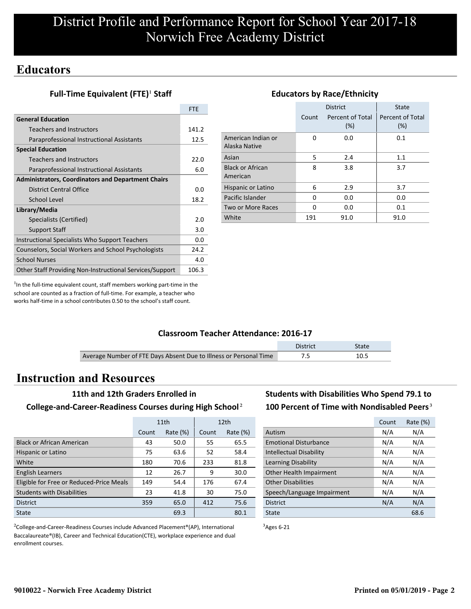## **Educators**

## **Full-Time Equivalent (FTE)<sup>1</sup> Staff**

|                                                           | <b>FTE</b> |
|-----------------------------------------------------------|------------|
| <b>General Education</b>                                  |            |
| Teachers and Instructors                                  | 141.2      |
| Paraprofessional Instructional Assistants                 | 12.5       |
| <b>Special Education</b>                                  |            |
| Teachers and Instructors                                  | 22.0       |
| Paraprofessional Instructional Assistants                 | 6.0        |
| <b>Administrators, Coordinators and Department Chairs</b> |            |
| District Central Office                                   | 0.0        |
| School Level                                              | 18.2       |
| Library/Media                                             |            |
| Specialists (Certified)                                   | 2.0        |
| <b>Support Staff</b>                                      | 3.0        |
| Instructional Specialists Who Support Teachers            | 0.0        |
| Counselors, Social Workers and School Psychologists       | 24.2       |
| <b>School Nurses</b>                                      | 4.0        |
| Other Staff Providing Non-Instructional Services/Support  | 106.3      |

#### District | State Count Percent of Total (%) Percent of Total (%) American Indian or Alaska Native 0 0.0 0.1 Asian 5 2.4 1.1 Black or African American 8 3.8 3.7 Hispanic or Latino 6 2.9 3.7 Pacific Islander 0 0.0 0.0 0.0 Two or More Races 0 0.0 0.1 0.1 White 191 91.0 91.0

**Educators by Race/Ethnicity**

 $<sup>1</sup>$ In the full-time equivalent count, staff members working part-time in the</sup> school are counted as a fraction of full-time. For example, a teacher who works half-time in a school contributes 0.50 to the school's staff count.

## **Classroom Teacher Attendance: 2016-17**

|                                                                   | District | <b>State</b> |
|-------------------------------------------------------------------|----------|--------------|
| Average Number of FTE Days Absent Due to Illness or Personal Time |          | 10.5         |

## **Instruction and Resources**

#### **11th and 12th Graders Enrolled in**

#### **College-and-Career-Readiness Courses during High School**²

|                                          | 11th  |             |       | 12 <sub>th</sub> |
|------------------------------------------|-------|-------------|-------|------------------|
|                                          | Count | Rate $(\%)$ | Count | Rate $(\%)$      |
| <b>Black or African American</b>         | 43    | 50.0        | 55    | 65.5             |
| Hispanic or Latino                       | 75    | 63.6        | 52    | 58.4             |
| White                                    | 180   | 70.6        | 233   | 81.8             |
| <b>English Learners</b>                  | 12    | 26.7        | 9     | 30.0             |
| Eligible for Free or Reduced-Price Meals | 149   | 54.4        | 176   | 67.4             |
| <b>Students with Disabilities</b>        | 23    | 41.8        | 30    | 75.0             |
| <b>District</b>                          | 359   | 65.0        | 412   | 75.6             |
| State                                    | 69.3  |             |       | 80.1             |

<sup>2</sup>College-and-Career-Readiness Courses include Advanced Placement®(AP), International Baccalaureate®(IB), Career and Technical Education(CTE), workplace experience and dual enrollment courses.

## **Students with Disabilities Who Spend 79.1 to** 100 Percent of Time with Nondisabled Peers<sup>3</sup>

|                                | Count | Rate (%) |
|--------------------------------|-------|----------|
| Autism                         | N/A   | N/A      |
| <b>Emotional Disturbance</b>   | N/A   | N/A      |
| <b>Intellectual Disability</b> | N/A   | N/A      |
| Learning Disability            | N/A   | N/A      |
| Other Health Impairment        | N/A   | N/A      |
| <b>Other Disabilities</b>      | N/A   | N/A      |
| Speech/Language Impairment     | N/A   | N/A      |
| <b>District</b>                | N/A   | N/A      |
| State                          |       | 68.6     |

 $3$ Ages 6-21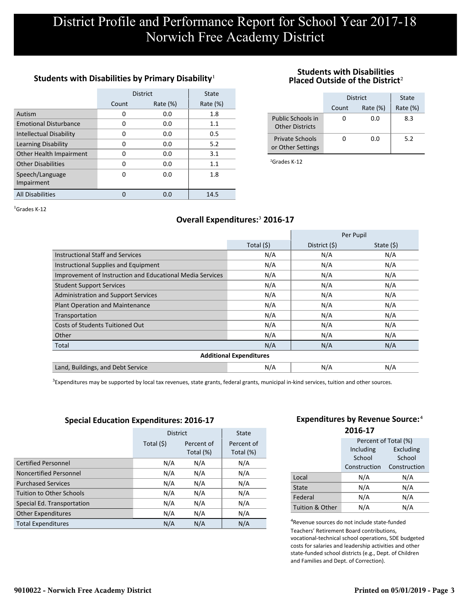## Students with Disabilities by Primary Disability<sup>1</sup>

|                                | <b>District</b> | State       |             |
|--------------------------------|-----------------|-------------|-------------|
|                                | Count           | Rate $(\%)$ | Rate $(\%)$ |
| Autism                         | 0               | 0.0         | 1.8         |
| <b>Emotional Disturbance</b>   | 0               | 0.0         | 1.1         |
| <b>Intellectual Disability</b> | 0               | 0.0         | 0.5         |
| Learning Disability            | 0               | 0.0         | 5.2         |
| Other Health Impairment        | 0               | 0.0         | 3.1         |
| <b>Other Disabilities</b>      | 0               | 0.0         | 1.1         |
| Speech/Language                | 0               | 0.0         | 1.8         |
| Impairment                     |                 |             |             |
| <b>All Disabilities</b>        |                 | 0.0         | 14.5        |

#### **Students with Disabilities Placed Outside of the District**²

|                                             | District | State       |             |
|---------------------------------------------|----------|-------------|-------------|
|                                             | Count    | Rate $(\%)$ | Rate $(\%)$ |
| Public Schools in<br><b>Other Districts</b> |          | 0.0         | 8.3         |
| <b>Private Schools</b><br>or Other Settings |          | 0.O         | 5.2         |

²Grades K-12

 ${}^{1}$ Grades K-12

## **Overall Expenditures:**³ **2016-17**

|                                                           |                                | Per Pupil     |            |
|-----------------------------------------------------------|--------------------------------|---------------|------------|
|                                                           | Total $(5)$                    | District (\$) | State (\$) |
| <b>Instructional Staff and Services</b>                   | N/A                            | N/A           | N/A        |
| Instructional Supplies and Equipment                      | N/A                            | N/A           | N/A        |
| Improvement of Instruction and Educational Media Services | N/A                            | N/A           | N/A        |
| <b>Student Support Services</b>                           | N/A                            | N/A           | N/A        |
| <b>Administration and Support Services</b>                | N/A                            | N/A           | N/A        |
| <b>Plant Operation and Maintenance</b>                    | N/A                            | N/A           | N/A        |
| Transportation                                            | N/A                            | N/A           | N/A        |
| <b>Costs of Students Tuitioned Out</b>                    | N/A                            | N/A           | N/A        |
| Other                                                     | N/A                            | N/A           | N/A        |
| Total                                                     | N/A                            | N/A           | N/A        |
|                                                           | <b>Additional Expenditures</b> |               |            |
| Land, Buildings, and Debt Service                         | N/A                            | N/A           | N/A        |

<sup>3</sup>Expenditures may be supported by local tax revenues, state grants, federal grants, municipal in-kind services, tuition and other sources.

#### **Special Education Expenditures: 2016-17**

|                                 | <b>District</b>                       | <b>State</b> |                         |
|---------------------------------|---------------------------------------|--------------|-------------------------|
|                                 | Total (\$)<br>Percent of<br>Total (%) |              | Percent of<br>Total (%) |
| <b>Certified Personnel</b>      | N/A                                   | N/A          | N/A                     |
| Noncertified Personnel          | N/A                                   | N/A          | N/A                     |
| <b>Purchased Services</b>       | N/A                                   | N/A          | N/A                     |
| <b>Tuition to Other Schools</b> | N/A                                   | N/A          | N/A                     |
| Special Ed. Transportation      | N/A                                   | N/A          | N/A                     |
| <b>Other Expenditures</b>       | N/A                                   | N/A          | N/A                     |
| <b>Total Expenditures</b>       | N/A                                   | N/A          | N/A                     |

#### **Expenditures by Revenue Source:**<sup>4</sup> **2016-17**

|                 | Percent of Total (%) |              |  |  |
|-----------------|----------------------|--------------|--|--|
|                 | Including            | Excluding    |  |  |
|                 | School               | School       |  |  |
|                 | Construction         | Construction |  |  |
| Local           | N/A                  | N/A          |  |  |
| State           | N/A                  | N/A          |  |  |
| Federal         | N/A                  | N/A          |  |  |
| Tuition & Other | N/A                  | N/A          |  |  |

<sup>4</sup>Revenue sources do not include state-funded Teachers' Retirement Board contributions, vocational-technical school operations, SDE budgeted costs for salaries and leadership activities and other state-funded school districts (e.g., Dept. of Children and Families and Dept. of Correction).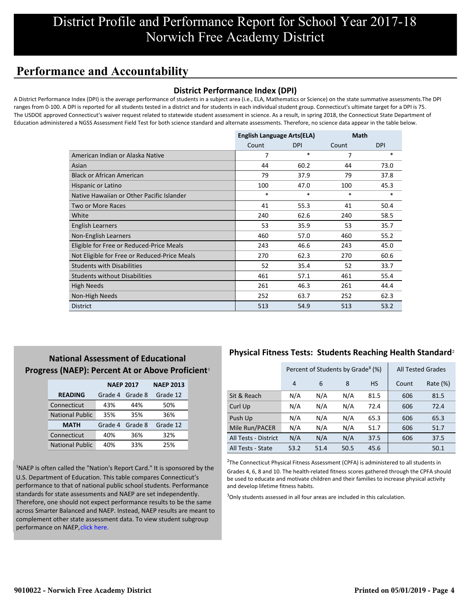# **Performance and Accountability**

### **District Performance Index (DPI)**

A District Performance Index (DPI) is the average performance of students in a subject area (i.e., ELA, Mathematics or Science) on the state summative assessments.The DPI ranges from 0-100. A DPI is reported for all students tested in a district and for students in each individual student group. Connecticut's ultimate target for a DPI is 75. The USDOE approved Connecticut's waiver request related to statewide student assessment in science. As a result, in spring 2018, the Connecticut State Department of Education administered a NGSS Assessment Field Test for both science standard and alternate assessments. Therefore, no science data appear in the table below.

|                                              | <b>English Language Arts(ELA)</b> |            | <b>Math</b> |            |
|----------------------------------------------|-----------------------------------|------------|-------------|------------|
|                                              | Count                             | <b>DPI</b> | Count       | <b>DPI</b> |
| American Indian or Alaska Native             | 7                                 | $\ast$     | 7           | $\ast$     |
| Asian                                        | 44                                | 60.2       | 44          | 73.0       |
| <b>Black or African American</b>             | 79                                | 37.9       | 79          | 37.8       |
| Hispanic or Latino                           | 100                               | 47.0       | 100         | 45.3       |
| Native Hawaiian or Other Pacific Islander    | $\ast$                            | $\ast$     | $\ast$      | $\ast$     |
| Two or More Races                            | 41                                | 55.3       | 41          | 50.4       |
| White                                        | 240                               | 62.6       | 240         | 58.5       |
| English Learners                             | 53                                | 35.9       | 53          | 35.7       |
| Non-English Learners                         | 460                               | 57.0       | 460         | 55.2       |
| Eligible for Free or Reduced-Price Meals     | 243                               | 46.6       | 243         | 45.0       |
| Not Eligible for Free or Reduced-Price Meals | 270                               | 62.3       | 270         | 60.6       |
| <b>Students with Disabilities</b>            | 52                                | 35.4       | 52          | 33.7       |
| <b>Students without Disabilities</b>         | 461                               | 57.1       | 461         | 55.4       |
| <b>High Needs</b>                            | 261                               | 46.3       | 261         | 44.4       |
| Non-High Needs                               | 252                               | 63.7       | 252         | 62.3       |
| <b>District</b>                              | 513                               | 54.9       | 513         | 53.2       |

## **National Assessment of Educational Progress (NAEP): Percent At or Above Proficient**<sup>1</sup>

|                        | <b>NAEP 2017</b> | <b>NAEP 2013</b> |          |
|------------------------|------------------|------------------|----------|
| <b>READING</b>         | Grade 4          | Grade 8          | Grade 12 |
| Connecticut            | 43%              | 44%              | 50%      |
| <b>National Public</b> | 35%              | 35%              | 36%      |
| <b>MATH</b>            | Grade 4          | Grade 8          | Grade 12 |
| Connecticut            | 40%              | 36%              | 32%      |
| <b>National Public</b> | 40%              | 33%              | 25%      |

<sup>1</sup>NAEP is often called the "Nation's Report Card." It is sponsored by the U.S. Department of Education. This table compares Connecticut's performance to that of national public school students. Performance standards for state assessments and NAEP are set independently. Therefore, one should not expect performance results to be the same [across Smarter Balanced and NAEP. Instead, NAEP results are meant to](https://portal.ct.gov/-/media/SDE/Student-Assessment/NAEP/report-card_NAEP-2017.pdf?la=en) complement other state assessment data. To view student subgroup performance on NAEP, click here.

## **Physical Fitness Tests: Students Reaching Health Standard**²

|                      | Percent of Students by Grade <sup>3</sup> (%) |      |      |           |       | <b>All Tested Grades</b> |
|----------------------|-----------------------------------------------|------|------|-----------|-------|--------------------------|
|                      | $\overline{4}$                                | 6    | 8    | <b>HS</b> | Count | Rate $(\%)$              |
| Sit & Reach          | N/A                                           | N/A  | N/A  | 81.5      | 606   | 81.5                     |
| Curl Up              | N/A                                           | N/A  | N/A  | 72.4      | 606   | 72.4                     |
| Push Up              | N/A                                           | N/A  | N/A  | 65.3      | 606   | 65.3                     |
| Mile Run/PACER       | N/A                                           | N/A  | N/A  | 51.7      | 606   | 51.7                     |
| All Tests - District | N/A                                           | N/A  | N/A  | 37.5      | 606   | 37.5                     |
| All Tests - State    | 53.2                                          | 51.4 | 50.5 | 45.6      |       | 50.1                     |

 $2$ The Connecticut Physical Fitness Assessment (CPFA) is administered to all students in Grades 4, 6, 8 and 10. The health-related fitness scores gathered through the CPFA should be used to educate and motivate children and their families to increase physical activity and develop lifetime fitness habits.

 $3$ Only students assessed in all four areas are included in this calculation.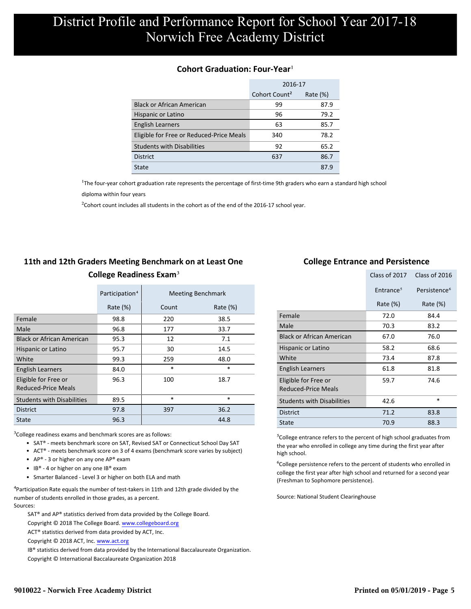### **Cohort Graduation: Four-Year**<sup>1</sup>

|                                          | 2016-17                   |             |  |
|------------------------------------------|---------------------------|-------------|--|
|                                          | Cohort Count <sup>2</sup> | Rate $(\%)$ |  |
| <b>Black or African American</b>         | 99                        | 87.9        |  |
| Hispanic or Latino                       | 96                        | 79.2        |  |
| <b>English Learners</b>                  | 63                        | 85.7        |  |
| Eligible for Free or Reduced-Price Meals | 340                       | 78.2        |  |
| <b>Students with Disabilities</b>        | 92                        | 65.2        |  |
| <b>District</b>                          | 637                       | 86.7        |  |
| State                                    |                           | 87.9        |  |

<sup>1</sup>The four-year cohort graduation rate represents the percentage of first-time 9th graders who earn a standard high school

[diploma within four years.](http://www.sde.ct.gov/sde/cwp/view.asp?a=2758&q=334898)

 $2$ Cohort count includes all students in the cohort as of the end of the 2016-17 school year.

## **11th and 12th Graders Meeting Benchmark on at Least One College Readiness Exam**³

|                                             | Participation <sup>4</sup> |        | <b>Meeting Benchmark</b> |
|---------------------------------------------|----------------------------|--------|--------------------------|
|                                             | Rate $(\%)$                | Count  | Rate $(\%)$              |
| Female                                      | 98.8                       | 220    | 38.5                     |
| Male                                        | 96.8                       | 177    | 33.7                     |
| <b>Black or African American</b>            | 95.3                       | 12     | 7.1                      |
| Hispanic or Latino                          | 95.7                       | 30     | 14.5                     |
| White                                       | 99.3                       | 259    | 48.0                     |
| <b>English Learners</b>                     | 84.0                       | $\ast$ | $\ast$                   |
| Eligible for Free or<br>Reduced-Price Meals | 96.3                       | 100    | 18.7                     |
| <b>Students with Disabilities</b>           | 89.5                       | $\ast$ | $\ast$                   |
| <b>District</b>                             | 97.8                       | 397    | 36.2                     |
| State                                       | 96.3                       |        | 44.8                     |

 $3$ College readiness exams and benchmark scores are as follows:

- SAT® meets benchmark score on SAT, Revised SAT or Connecticut School Day SAT
- ACT® meets benchmark score on 3 of 4 exams (benchmark score varies by subject)
- AP® 3 or higher on any one  $AP^®$  exam
- IB® 4 or higher on any one IB® exam
- Smarter Balanced Level 3 or higher on both ELA and math

 $4$ Participation Rate equals the number of test-takers in 11th and 12th grade divided by the number of students enrolled in those grades, as a percent. Sources:

SAT® and AP® statistics derived from data provided by the College Board.

- Copyright © 2018 The College Board. www.collegeboard.org
- ACT® statistics derived from data provided by ACT, Inc.

Copyright © 2018 ACT, Inc. www.act.org

IB® statistics derived from data provided by the International Baccalaureate Organization.

Copyright © International Baccalaureate Organization 2018

### **College Entrance and Persistence**

|                                                    | Class of 2017         | Class of 2016            |
|----------------------------------------------------|-----------------------|--------------------------|
|                                                    | Entrance <sup>5</sup> | Persistence <sup>6</sup> |
|                                                    | Rate (%)              | Rate $(\%)$              |
| Female                                             | 72.0                  | 84.4                     |
| Male                                               | 70.3                  | 83.2                     |
| <b>Black or African American</b>                   | 67.0                  | 76.0                     |
| Hispanic or Latino                                 | 58.2                  | 68.6                     |
| White                                              | 73.4                  | 87.8                     |
| English Learners                                   | 61.8                  | 81.8                     |
| Eligible for Free or<br><b>Reduced-Price Meals</b> | 59.7                  | 74.6                     |
| <b>Students with Disabilities</b>                  | 42.6                  | *                        |
| <b>District</b>                                    | 71.2                  | 83.8                     |
| State                                              | 70.9                  | 88.3                     |

⁵College entrance refers to the percent of high school graduates from the year who enrolled in college any time during the first year after high school.

⁶College persistence refers to the percent of students who enrolled in college the first year after high school and returned for a second year (Freshman to Sophomore persistence).

Source: National Student Clearinghouse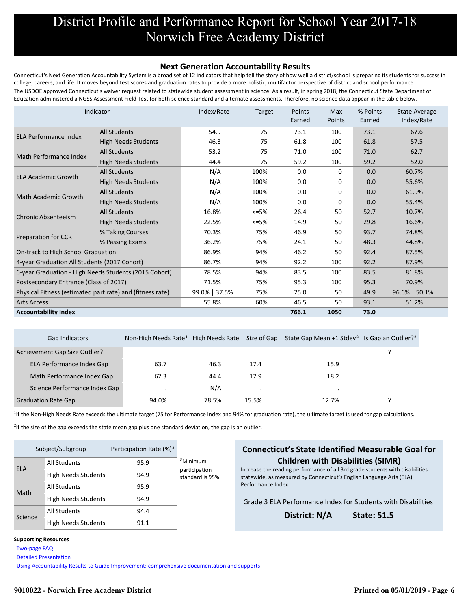#### **Next Generation Accountability Results**

Connecticut's Next Generation Accountability System is a broad set of 12 indicators that help tell the story of how well a district/school is preparing its students for success in college, careers, and life. It moves beyond test scores and graduation rates to provide a more holistic, multifactor perspective of district and school performance. The USDOE approved Connecticut's waiver request related to statewide student assessment in science. As a result, in spring 2018, the Connecticut State Department of Education administered a NGSS Assessment Field Test for both science standard and alternate assessments. Therefore, no science data appear in the table below.

| Indicator                                                 |                            | Index/Rate    | Target  | Points<br>Earned | <b>Max</b><br>Points | % Points<br>Earned | <b>State Average</b><br>Index/Rate |
|-----------------------------------------------------------|----------------------------|---------------|---------|------------------|----------------------|--------------------|------------------------------------|
| <b>ELA Performance Index</b>                              | <b>All Students</b>        | 54.9          | 75      | 73.1             | 100                  | 73.1               | 67.6                               |
|                                                           | <b>High Needs Students</b> | 46.3          | 75      | 61.8             | 100                  | 61.8               | 57.5                               |
| Math Performance Index                                    | <b>All Students</b>        | 53.2          | 75      | 71.0             | 100                  | 71.0               | 62.7                               |
|                                                           | <b>High Needs Students</b> | 44.4          | 75      | 59.2             | 100                  | 59.2               | 52.0                               |
| <b>ELA Academic Growth</b>                                | <b>All Students</b>        | N/A           | 100%    | 0.0              | 0                    | 0.0                | 60.7%                              |
|                                                           | <b>High Needs Students</b> | N/A           | 100%    | 0.0              | 0                    | 0.0                | 55.6%                              |
|                                                           | <b>All Students</b>        | N/A           | 100%    | 0.0              | 0                    | 0.0                | 61.9%                              |
| <b>Math Academic Growth</b>                               | <b>High Needs Students</b> | N/A           | 100%    | 0.0              | 0                    | 0.0                | 55.4%                              |
| <b>Chronic Absenteeism</b>                                | <b>All Students</b>        | 16.8%         | $<=5\%$ | 26.4             | 50                   | 52.7               | 10.7%                              |
|                                                           | <b>High Needs Students</b> | 22.5%         | $<=5\%$ | 14.9             | 50                   | 29.8               | 16.6%                              |
|                                                           | % Taking Courses           | 70.3%         | 75%     | 46.9             | 50                   | 93.7               | 74.8%                              |
| <b>Preparation for CCR</b>                                | % Passing Exams            | 36.2%         | 75%     | 24.1             | 50                   | 48.3               | 44.8%                              |
| On-track to High School Graduation                        |                            | 86.9%         | 94%     | 46.2             | 50                   | 92.4               | 87.5%                              |
| 4-year Graduation All Students (2017 Cohort)              |                            | 86.7%         | 94%     | 92.2             | 100                  | 92.2               | 87.9%                              |
| 6-year Graduation - High Needs Students (2015 Cohort)     |                            | 78.5%         | 94%     | 83.5             | 100                  | 83.5               | 81.8%                              |
| Postsecondary Entrance (Class of 2017)                    |                            | 71.5%         | 75%     | 95.3             | 100                  | 95.3               | 70.9%                              |
| Physical Fitness (estimated part rate) and (fitness rate) |                            | 99.0%   37.5% | 75%     | 25.0             | 50                   | 49.9               | 96.6%   50.1%                      |
| <b>Arts Access</b>                                        |                            | 55.8%         | 60%     | 46.5             | 50                   | 93.1               | 51.2%                              |
| <b>Accountability Index</b>                               |                            |               |         | 766.1            | 1050                 | 73.0               |                                    |

| Gap Indicators                | Non-High Needs Rate <sup>1</sup> High Needs Rate |       | Size of Gap | State Gap Mean +1 Stdev <sup>2</sup> Is Gap an Outlier? <sup>2</sup> |  |
|-------------------------------|--------------------------------------------------|-------|-------------|----------------------------------------------------------------------|--|
| Achievement Gap Size Outlier? |                                                  |       |             |                                                                      |  |
| ELA Performance Index Gap     | 63.7                                             | 46.3  | 17.4        | 15.9                                                                 |  |
| Math Performance Index Gap    | 62.3                                             | 44.4  | 17.9        | 18.2                                                                 |  |
| Science Performance Index Gap |                                                  | N/A   |             |                                                                      |  |
| <b>Graduation Rate Gap</b>    | 94.0%                                            | 78.5% | 15.5%       | 12.7%                                                                |  |

<sup>1</sup>If the Non-High Needs Rate exceeds the ultimate target (75 for Performance Index and 94% for graduation rate), the ultimate target is used for gap calculations.

 $2$ If the size of the gap exceeds the state mean gap plus one standard deviation, the gap is an outlier.

| Subject/Subgroup |                            | Participation Rate $(\%)^3$ |                                   |
|------------------|----------------------------|-----------------------------|-----------------------------------|
| <b>ELA</b>       | <b>All Students</b>        | 95.9                        | <sup>3</sup> Minimum              |
|                  | <b>High Needs Students</b> | 94.9                        | participation<br>standard is 95%. |
| Math             | <b>All Students</b>        | 95.9                        |                                   |
|                  | <b>High Needs Students</b> | 94.9                        |                                   |
| Science          | <b>All Students</b>        | 94.4                        |                                   |
|                  | <b>High Needs Students</b> | 91.1                        |                                   |

### **Connecticut's State Identified Measurable Goal for Children with Disabilities (SIMR)**

Increase the reading performance of all 3rd grade students with disabilities statewide, as measured by Connecticut's English Language Arts (ELA) Performance Index.

Grade 3 ELA Performance Index for Students with Disabilities:

**District: N/A State: 51.5**

#### **Supporting Resources**

 [Two-page FAQ](http://edsight.ct.gov/relatedreports/nextgenFAQ_revisedDec2018.pdf) 

 [Detailed Presentation](http://edsight.ct.gov/relatedreports/Next%20Generation%20Accountability%20System_Detailed%20Presentation_Jan_2019_FINAL.pdf) 

 [Using Accountability Results to Guide Improvement: comprehensive documentation and supports](http://edsight.ct.gov/relatedreports/Using_Accountability_Results_to_Guide_Improvement.pdf)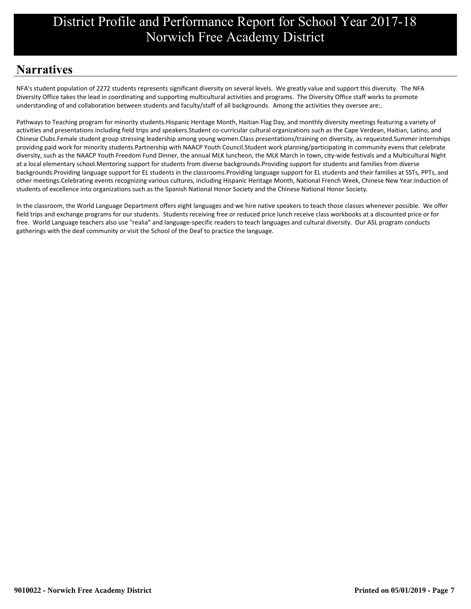# **Narratives**

NFA's student population of 2272 students represents significant diversity on several levels. We greatly value and support this diversity. The NFA Diversity Office takes the lead in coordinating and supporting multicultural activities and programs. The Diversity Office staff works to promote understanding of and collaboration between students and faculty/staff of all backgrounds. Among the activities they oversee are:.

Pathways to Teaching program for minority students.Hispanic Heritage Month, Haitian Flag Day, and monthly diversity meetings featuring a variety of activities and presentations including field trips and speakers.Student co-curricular cultural organizations such as the Cape Verdean, Haitian, Latino, and providing paid work for minority students.Partnership with NAACP Youth Council Student work planning/participating in community evens that celebrate at a local elementary school.Mentoring support for students from diverse backgrounds.Providing support for students and families from diverse backgrounds.Providing language support for EL students in the classrooms.Providing language support for EL students and their families at SSTs, PPTs, and students of excellence into organizations such as the Spanish National Honor Society and the Chinese National Honor Society. Chinese Clubs.Female student group stressing leadership among young women.Class presentations/training on diversity, as requested.Summer internships diversity, such as the NAACP Youth Freedom Fund Dinner, the annual MLK luncheon, the MLK March in town, city-wide festivals and a Multicultural Night other meetings.Celebrating events recognizing various cultures, including Hispanic Heritage Month, National French Week, Chinese New Year.Induction of

In the classroom, the World Language Department offers eight languages and we hire native speakers to teach those classes whenever possible. We offer field trips and exchange programs for our students. Students receiving free or reduced price lunch receive class workbooks at a discounted price or for gatherings with the deaf community or visit the School of the Deaf to practice the language. free. World Language teachers also use "realia" and language-specific readers to teach languages and cultural diversity. Our ASL program conducts